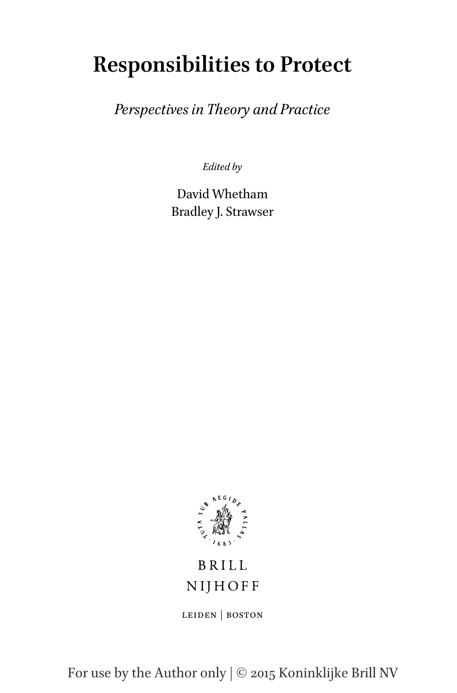# **Responsibilities to Protect**

*Perspectives in Theory and Practice*

*Edited by*

David Whetham Bradley J. Strawser



# **BRILL** NIJHOFF

LEIDEN | BOSTON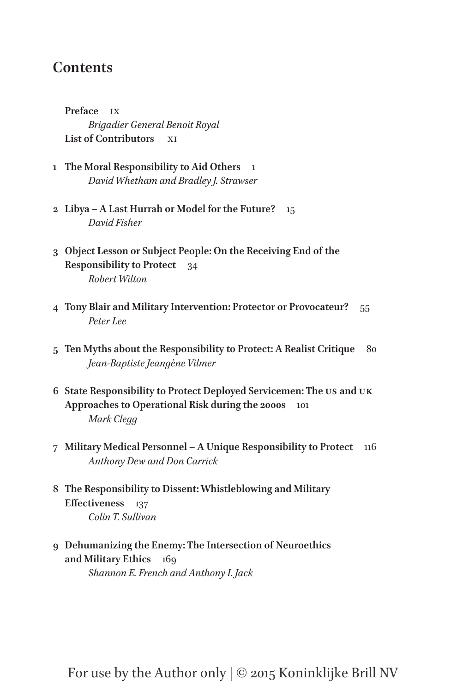### **Contents**

**Preface** ix *Brigadier General Benoit Royal* **List of Contributors** xi

- **1 The Moral Responsibility to Aid Others** 1 *David Whetham and Bradley J. Strawser*
- **2 Libya A Last Hurrah or Model for the Future?** 15 *David Fisher*
- **3 Object Lesson or Subject People: On the Receiving End of the Responsibility to Protect** 34 *Robert Wilton*
- **4 Tony Blair and Military Intervention: Protector or Provocateur?** 55 *Peter Lee*
- **5 Ten Myths about the Responsibility to Protect: A Realist Critique** 80 *Jean-Baptiste Jeangène Vilmer*
- **6 State Responsibility to Protect Deployed Servicemen: The us and uk Approaches to Operational Risk during the 2000s** 101 *Mark Clegg*
- **7 Military Medical Personnel A Unique Responsibility to Protect** 116 *Anthony Dew and Don Carrick*
- **8 The Responsibility to Dissent: Whistleblowing and Military Effectiveness** 137 *Colin T. Sullivan*
- **9 Dehumanizing the Enemy: The Intersection of Neuroethics and Military Ethics** 169 *Shannon E. French and Anthony I. Jack*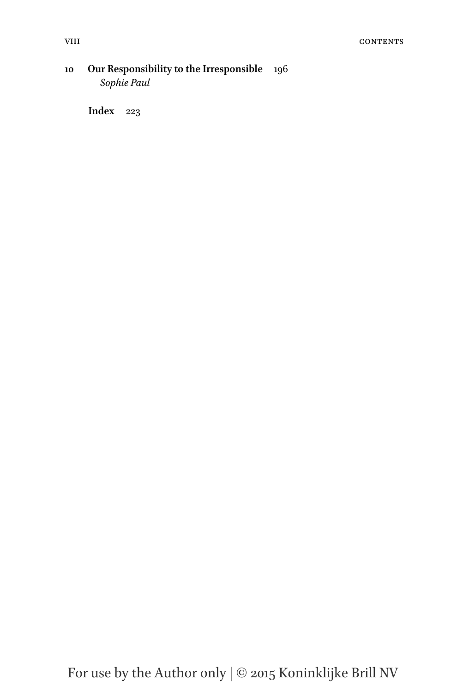**10 Our Responsibility to the Irresponsible** 196 *Sophie Paul* 

**Index** 223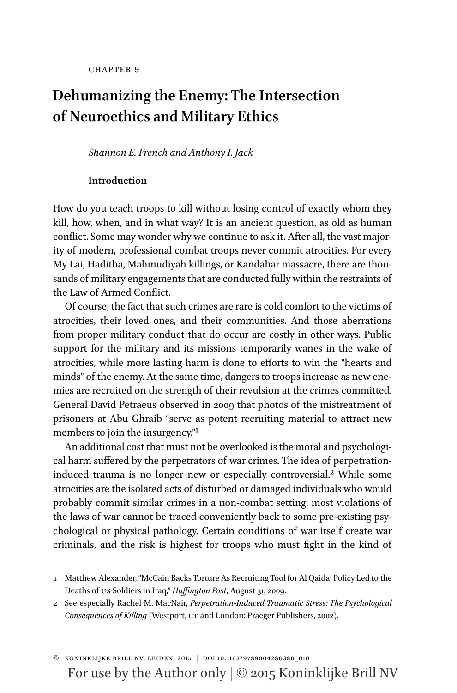# **Dehumanizing the Enemy: The Intersection of Neuroethics and Military Ethics**

#### *Shannon E. French and Anthony I. Jack*

#### **Introduction**

How do you teach troops to kill without losing control of exactly whom they kill, how, when, and in what way? It is an ancient question, as old as human conflict. Some may wonder why we continue to ask it. After all, the vast majority of modern, professional combat troops never commit atrocities. For every My Lai, Haditha, Mahmudiyah killings, or Kandahar massacre, there are thousands of military engagements that are conducted fully within the restraints of the Law of Armed Conflict.

Of course, the fact that such crimes are rare is cold comfort to the victims of atrocities, their loved ones, and their communities. And those aberrations from proper military conduct that do occur are costly in other ways. Public support for the military and its missions temporarily wanes in the wake of atrocities, while more lasting harm is done to efforts to win the "hearts and minds" of the enemy. At the same time, dangers to troops increase as new enemies are recruited on the strength of their revulsion at the crimes committed. General David Petraeus observed in 2009 that photos of the mistreatment of prisoners at Abu Ghraib "serve as potent recruiting material to attract new members to join the insurgency."1

An additional cost that must not be overlooked is the moral and psychological harm suffered by the perpetrators of war crimes. The idea of perpetrationinduced trauma is no longer new or especially controversial.2 While some atrocities are the isolated acts of disturbed or damaged individuals who would probably commit similar crimes in a non-combat setting, most violations of the laws of war cannot be traced conveniently back to some pre-existing psychological or physical pathology. Certain conditions of war itself create war criminals, and the risk is highest for troops who must fight in the kind of

#### For use by the Author only | © 2015 Koninklijke Brill NV © koninklijke brill nv, leiden, 2015 | doi 10.1163/9789004280380\_010

<sup>1</sup> Matthew Alexander, "McCain Backs Torture As Recruiting Tool for Al Qaida; Policy Led to the Deaths of us Soldiers in Iraq," *Huffington Post*, August 31, 2009.

<sup>2</sup> See especially Rachel M. MacNair, *Perpetration-Induced Traumatic Stress: The Psychological Consequences of Killing* (Westport, CT and London: Praeger Publishers, 2002).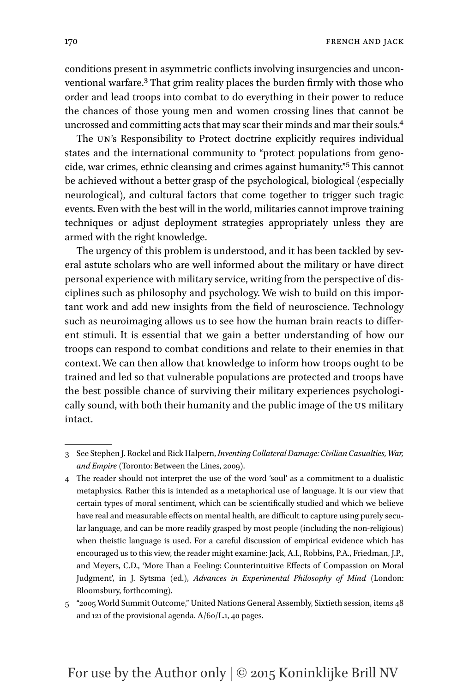conditions present in asymmetric conflicts involving insurgencies and unconventional warfare.3 That grim reality places the burden firmly with those who order and lead troops into combat to do everything in their power to reduce the chances of those young men and women crossing lines that cannot be uncrossed and committing acts that may scar their minds and mar their souls.4

The un's Responsibility to Protect doctrine explicitly requires individual states and the international community to "protect populations from genocide, war crimes, ethnic cleansing and crimes against humanity."5 This cannot be achieved without a better grasp of the psychological, biological (especially neurological), and cultural factors that come together to trigger such tragic events. Even with the best will in the world, militaries cannot improve training techniques or adjust deployment strategies appropriately unless they are armed with the right knowledge.

The urgency of this problem is understood, and it has been tackled by several astute scholars who are well informed about the military or have direct personal experience with military service, writing from the perspective of disciplines such as philosophy and psychology. We wish to build on this important work and add new insights from the field of neuroscience. Technology such as neuroimaging allows us to see how the human brain reacts to different stimuli. It is essential that we gain a better understanding of how our troops can respond to combat conditions and relate to their enemies in that context. We can then allow that knowledge to inform how troops ought to be trained and led so that vulnerable populations are protected and troops have the best possible chance of surviving their military experiences psychologically sound, with both their humanity and the public image of the us military intact.

<sup>3</sup> See Stephen J. Rockel and Rick Halpern, *Inventing Collateral Damage: Civilian Casualties, War, and Empire* (Toronto: Between the Lines, 2009).

<sup>4</sup> The reader should not interpret the use of the word 'soul' as a commitment to a dualistic metaphysics. Rather this is intended as a metaphorical use of language. It is our view that certain types of moral sentiment, which can be scientifically studied and which we believe have real and measurable effects on mental health, are difficult to capture using purely secular language, and can be more readily grasped by most people (including the non-religious) when theistic language is used. For a careful discussion of empirical evidence which has encouraged us to this view, the reader might examine: Jack, A.I., Robbins, P.A., Friedman, J.P., and Meyers, C.D., 'More Than a Feeling: Counterintuitive Effects of Compassion on Moral Judgment', in J. Sytsma (ed.), *Advances in Experimental Philosophy of Mind* (London: Bloomsbury, forthcoming).

<sup>5</sup> "2005 World Summit Outcome," United Nations General Assembly, Sixtieth session, items 48 and 121 of the provisional agenda. A/60/L.1, 40 pages.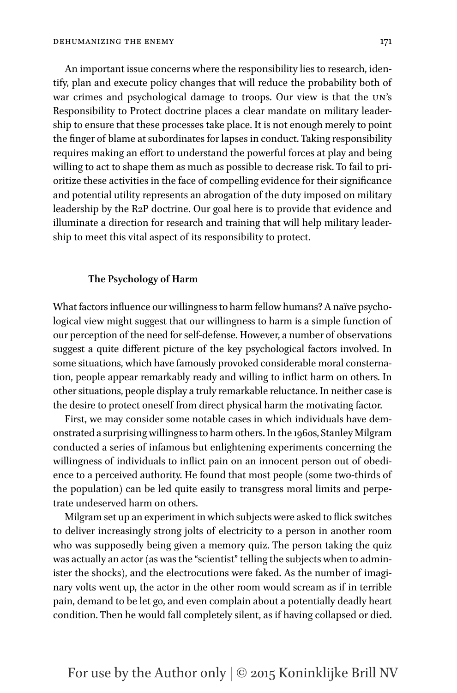An important issue concerns where the responsibility lies to research, identify, plan and execute policy changes that will reduce the probability both of war crimes and psychological damage to troops. Our view is that the un's Responsibility to Protect doctrine places a clear mandate on military leadership to ensure that these processes take place. It is not enough merely to point the finger of blame at subordinates for lapses in conduct. Taking responsibility requires making an effort to understand the powerful forces at play and being willing to act to shape them as much as possible to decrease risk. To fail to prioritize these activities in the face of compelling evidence for their significance and potential utility represents an abrogation of the duty imposed on military leadership by the R2P doctrine. Our goal here is to provide that evidence and illuminate a direction for research and training that will help military leadership to meet this vital aspect of its responsibility to protect.

#### **The Psychology of Harm**

What factors influence our willingness to harm fellow humans? A naïve psychological view might suggest that our willingness to harm is a simple function of our perception of the need for self-defense. However, a number of observations suggest a quite different picture of the key psychological factors involved. In some situations, which have famously provoked considerable moral consternation, people appear remarkably ready and willing to inflict harm on others. In other situations, people display a truly remarkable reluctance. In neither case is the desire to protect oneself from direct physical harm the motivating factor.

First, we may consider some notable cases in which individuals have demonstrated a surprising willingness to harm others. In the 1960s, Stanley Milgram conducted a series of infamous but enlightening experiments concerning the willingness of individuals to inflict pain on an innocent person out of obedience to a perceived authority. He found that most people (some two-thirds of the population) can be led quite easily to transgress moral limits and perpetrate undeserved harm on others.

Milgram set up an experiment in which subjects were asked to flick switches to deliver increasingly strong jolts of electricity to a person in another room who was supposedly being given a memory quiz. The person taking the quiz was actually an actor (as was the "scientist" telling the subjects when to administer the shocks), and the electrocutions were faked. As the number of imaginary volts went up, the actor in the other room would scream as if in terrible pain, demand to be let go, and even complain about a potentially deadly heart condition. Then he would fall completely silent, as if having collapsed or died.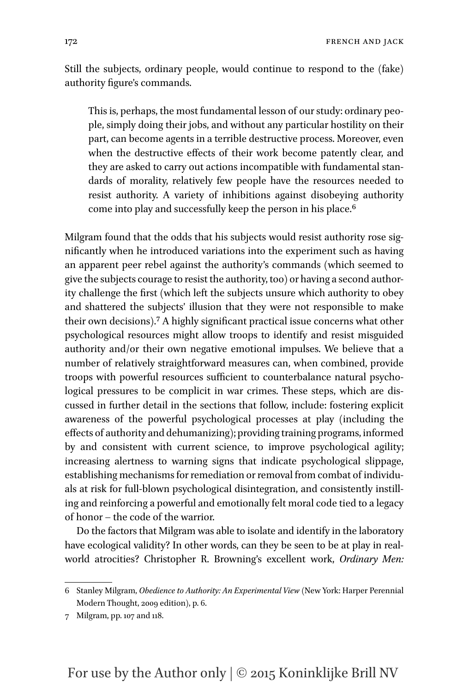Still the subjects, ordinary people, would continue to respond to the (fake) authority figure's commands.

This is, perhaps, the most fundamental lesson of our study: ordinary people, simply doing their jobs, and without any particular hostility on their part, can become agents in a terrible destructive process. Moreover, even when the destructive effects of their work become patently clear, and they are asked to carry out actions incompatible with fundamental standards of morality, relatively few people have the resources needed to resist authority. A variety of inhibitions against disobeying authority come into play and successfully keep the person in his place.6

Milgram found that the odds that his subjects would resist authority rose significantly when he introduced variations into the experiment such as having an apparent peer rebel against the authority's commands (which seemed to give the subjects courage to resist the authority, too) or having a second authority challenge the first (which left the subjects unsure which authority to obey and shattered the subjects' illusion that they were not responsible to make their own decisions).7 A highly significant practical issue concerns what other psychological resources might allow troops to identify and resist misguided authority and/or their own negative emotional impulses. We believe that a number of relatively straightforward measures can, when combined, provide troops with powerful resources sufficient to counterbalance natural psychological pressures to be complicit in war crimes. These steps, which are discussed in further detail in the sections that follow, include: fostering explicit awareness of the powerful psychological processes at play (including the effects of authority and dehumanizing); providing training programs, informed by and consistent with current science, to improve psychological agility; increasing alertness to warning signs that indicate psychological slippage, establishing mechanisms for remediation or removal from combat of individuals at risk for full-blown psychological disintegration, and consistently instilling and reinforcing a powerful and emotionally felt moral code tied to a legacy of honor – the code of the warrior.

Do the factors that Milgram was able to isolate and identify in the laboratory have ecological validity? In other words, can they be seen to be at play in realworld atrocities? Christopher R. Browning's excellent work, *Ordinary Men:* 

<sup>6</sup> Stanley Milgram, *Obedience to Authority: An Experimental View* (New York: Harper Perennial Modern Thought, 2009 edition), p. 6.

<sup>7</sup> Milgram, pp. 107 and 118.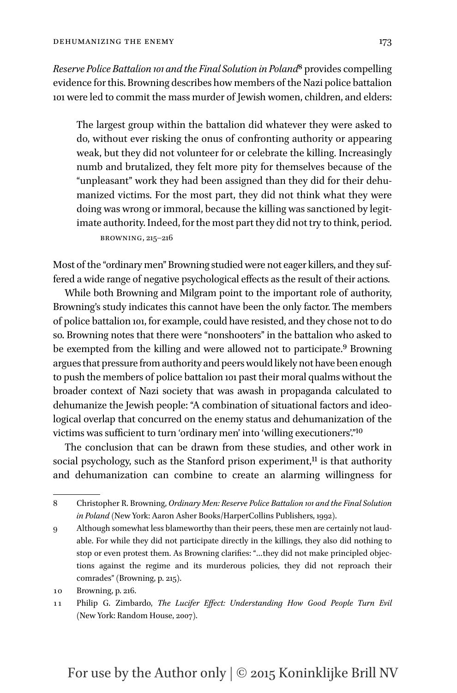*Reserve Police Battalion 101 and the Final Solution in Poland*8 provides compelling evidence for this. Browning describes how members of the Nazi police battalion 101 were led to commit the mass murder of Jewish women, children, and elders:

The largest group within the battalion did whatever they were asked to do, without ever risking the onus of confronting authority or appearing weak, but they did not volunteer for or celebrate the killing. Increasingly numb and brutalized, they felt more pity for themselves because of the "unpleasant" work they had been assigned than they did for their dehumanized victims. For the most part, they did not think what they were doing was wrong or immoral, because the killing was sanctioned by legitimate authority. Indeed, for the most part they did not try to think, period. browning, 215–216

Most of the "ordinary men" Browning studied were not eager killers, and they suffered a wide range of negative psychological effects as the result of their actions.

While both Browning and Milgram point to the important role of authority, Browning's study indicates this cannot have been the only factor. The members of police battalion 101, for example, could have resisted, and they chose not to do so. Browning notes that there were "nonshooters" in the battalion who asked to be exempted from the killing and were allowed not to participate.<sup>9</sup> Browning argues that pressure from authority and peers would likely not have been enough to push the members of police battalion 101 past their moral qualms without the broader context of Nazi society that was awash in propaganda calculated to dehumanize the Jewish people: "A combination of situational factors and ideological overlap that concurred on the enemy status and dehumanization of the victims was sufficient to turn 'ordinary men' into 'willing executioners'."10

The conclusion that can be drawn from these studies, and other work in social psychology, such as the Stanford prison experiment, $11$  is that authority and dehumanization can combine to create an alarming willingness for

<sup>8</sup> Christopher R. Browning, *Ordinary Men: Reserve Police Battalion 101 and the Final Solution in Poland* (New York: Aaron Asher Books/HarperCollins Publishers, 1992).

<sup>9</sup> Although somewhat less blameworthy than their peers, these men are certainly not laudable. For while they did not participate directly in the killings, they also did nothing to stop or even protest them. As Browning clarifies: "…they did not make principled objections against the regime and its murderous policies, they did not reproach their comrades" (Browning, p. 215).

<sup>10</sup> Browning, p. 216.

<sup>11</sup> Philip G. Zimbardo, *The Lucifer Effect: Understanding How Good People Turn Evil* (New York: Random House, 2007).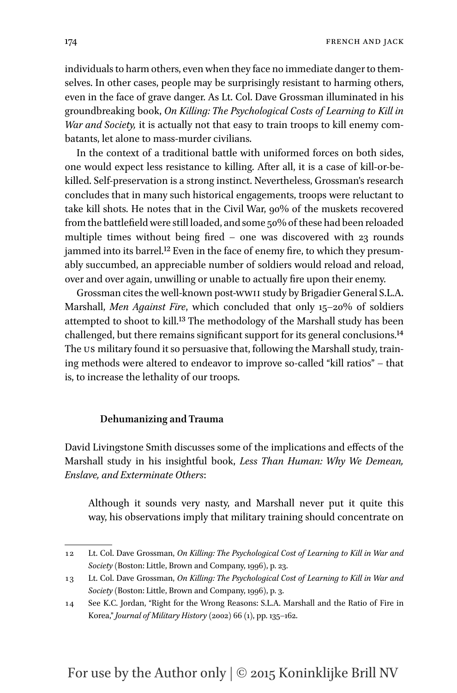174 FRENCH AND JACK

individuals to harm others, even when they face no immediate danger to themselves. In other cases, people may be surprisingly resistant to harming others, even in the face of grave danger. As Lt. Col. Dave Grossman illuminated in his groundbreaking book, *On Killing: The Psychological Costs of Learning to Kill in War and Society,* it is actually not that easy to train troops to kill enemy combatants, let alone to mass-murder civilians.

In the context of a traditional battle with uniformed forces on both sides, one would expect less resistance to killing. After all, it is a case of kill-or-bekilled. Self-preservation is a strong instinct. Nevertheless, Grossman's research concludes that in many such historical engagements, troops were reluctant to take kill shots. He notes that in the Civil War, 90% of the muskets recovered from the battlefield were still loaded, and some 50% of these had been reloaded multiple times without being fired – one was discovered with 23 rounds jammed into its barrel.<sup>12</sup> Even in the face of enemy fire, to which they presumably succumbed, an appreciable number of soldiers would reload and reload, over and over again, unwilling or unable to actually fire upon their enemy.

Grossman cites the well-known post-wwii study by Brigadier General S.L.A. Marshall, *Men Against Fire*, which concluded that only 15–20% of soldiers attempted to shoot to kill.<sup>13</sup> The methodology of the Marshall study has been challenged, but there remains significant support for its general conclusions.<sup>14</sup> The us military found it so persuasive that, following the Marshall study, training methods were altered to endeavor to improve so-called "kill ratios" – that is, to increase the lethality of our troops.

#### **Dehumanizing and Trauma**

David Livingstone Smith discusses some of the implications and effects of the Marshall study in his insightful book, *Less Than Human: Why We Demean, Enslave, and Exterminate Others*:

Although it sounds very nasty, and Marshall never put it quite this way, his observations imply that military training should concentrate on

<sup>12</sup> Lt. Col. Dave Grossman, *On Killing: The Psychological Cost of Learning to Kill in War and Society* (Boston: Little, Brown and Company, 1996), p. 23.

<sup>13</sup> Lt. Col. Dave Grossman, *On Killing: The Psychological Cost of Learning to Kill in War and Society* (Boston: Little, Brown and Company, 1996), p. 3.

<sup>14</sup> See K.C. Jordan, "Right for the Wrong Reasons: S.L.A. Marshall and the Ratio of Fire in Korea," *Journal of Military History* (2002) 66 (1), pp. 135–162.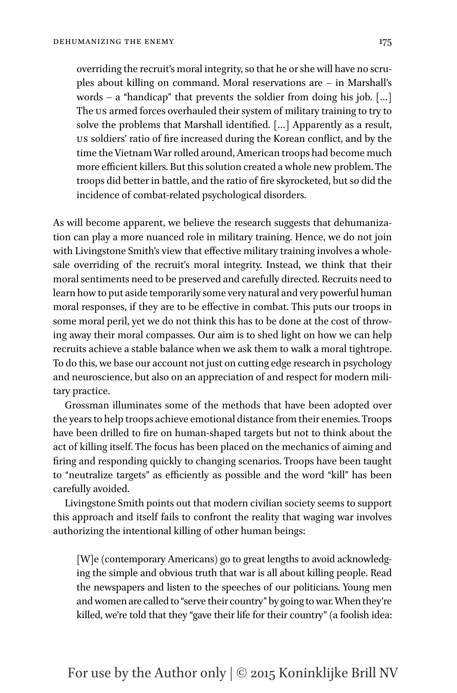overriding the recruit's moral integrity, so that he or she will have no scruples about killing on command. Moral reservations are – in Marshall's words – a "handicap" that prevents the soldier from doing his job. […] The us armed forces overhauled their system of military training to try to solve the problems that Marshall identified. […] Apparently as a result, us soldiers' ratio of fire increased during the Korean conflict, and by the time the Vietnam War rolled around, American troops had become much more efficient killers. But this solution created a whole new problem. The troops did better in battle, and the ratio of fire skyrocketed, but so did the incidence of combat-related psychological disorders.

As will become apparent, we believe the research suggests that dehumanization can play a more nuanced role in military training. Hence, we do not join with Livingstone Smith's view that effective military training involves a wholesale overriding of the recruit's moral integrity. Instead, we think that their moral sentiments need to be preserved and carefully directed. Recruits need to learn how to put aside temporarily some very natural and very powerful human moral responses, if they are to be effective in combat. This puts our troops in some moral peril, yet we do not think this has to be done at the cost of throwing away their moral compasses. Our aim is to shed light on how we can help recruits achieve a stable balance when we ask them to walk a moral tightrope. To do this, we base our account not just on cutting edge research in psychology and neuroscience, but also on an appreciation of and respect for modern military practice.

Grossman illuminates some of the methods that have been adopted over the years to help troops achieve emotional distance from their enemies. Troops have been drilled to fire on human-shaped targets but not to think about the act of killing itself. The focus has been placed on the mechanics of aiming and firing and responding quickly to changing scenarios. Troops have been taught to "neutralize targets" as efficiently as possible and the word "kill" has been carefully avoided.

Livingstone Smith points out that modern civilian society seems to support this approach and itself fails to confront the reality that waging war involves authorizing the intentional killing of other human beings:

[W]e (contemporary Americans) go to great lengths to avoid acknowledging the simple and obvious truth that war is all about killing people. Read the newspapers and listen to the speeches of our politicians. Young men and women are called to "serve their country" by going to war. When they're killed, we're told that they "gave their life for their country" (a foolish idea: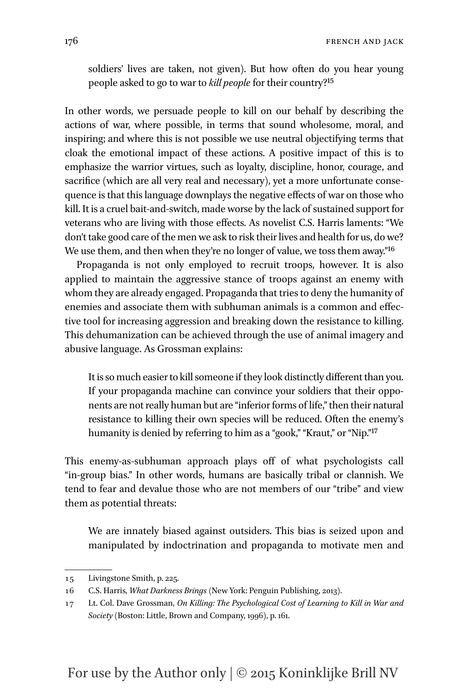soldiers' lives are taken, not given). But how often do you hear young people asked to go to war to *kill people* for their country?15

In other words, we persuade people to kill on our behalf by describing the actions of war, where possible, in terms that sound wholesome, moral, and inspiring; and where this is not possible we use neutral objectifying terms that cloak the emotional impact of these actions. A positive impact of this is to emphasize the warrior virtues, such as loyalty, discipline, honor, courage, and sacrifice (which are all very real and necessary), yet a more unfortunate consequence is that this language downplays the negative effects of war on those who kill. It is a cruel bait-and-switch, made worse by the lack of sustained support for veterans who are living with those effects. As novelist C.S. Harris laments: "We don't take good care of the men we ask to risk their lives and health for us, do we? We use them, and then when they're no longer of value, we toss them away."<sup>16</sup>

Propaganda is not only employed to recruit troops, however. It is also applied to maintain the aggressive stance of troops against an enemy with whom they are already engaged. Propaganda that tries to deny the humanity of enemies and associate them with subhuman animals is a common and effective tool for increasing aggression and breaking down the resistance to killing. This dehumanization can be achieved through the use of animal imagery and abusive language. As Grossman explains:

It is so much easier to kill someone if they look distinctly different than you. If your propaganda machine can convince your soldiers that their opponents are not really human but are "inferior forms of life," then their natural resistance to killing their own species will be reduced. Often the enemy's humanity is denied by referring to him as a "gook," "Kraut," or "Nip."<sup>17</sup>

This enemy-as-subhuman approach plays off of what psychologists call "in-group bias." In other words, humans are basically tribal or clannish. We tend to fear and devalue those who are not members of our "tribe" and view them as potential threats:

We are innately biased against outsiders. This bias is seized upon and manipulated by indoctrination and propaganda to motivate men and

<sup>15</sup> Livingstone Smith, p. 225.

<sup>16</sup> C.S. Harris, *What Darkness Brings* (New York: Penguin Publishing, 2013).

<sup>17</sup> Lt. Col. Dave Grossman, *On Killing: The Psychological Cost of Learning to Kill in War and Society* (Boston: Little, Brown and Company, 1996), p. 161.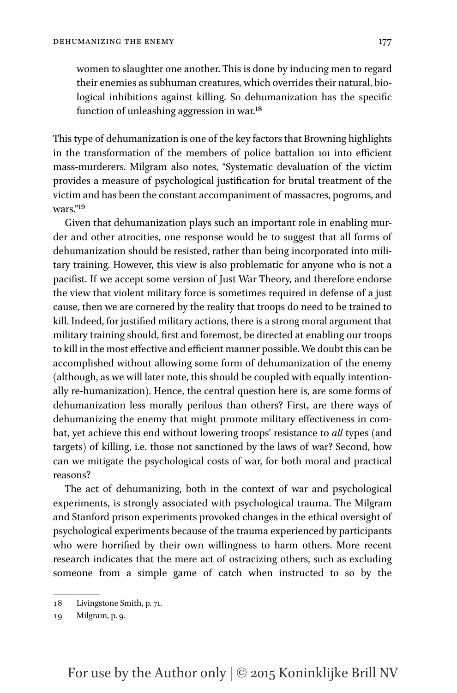women to slaughter one another. This is done by inducing men to regard their enemies as subhuman creatures, which overrides their natural, biological inhibitions against killing. So dehumanization has the specific function of unleashing aggression in war.18

This type of dehumanization is one of the key factors that Browning highlights in the transformation of the members of police battalion 101 into efficient mass-murderers. Milgram also notes, "Systematic devaluation of the victim provides a measure of psychological justification for brutal treatment of the victim and has been the constant accompaniment of massacres, pogroms, and wars."19

Given that dehumanization plays such an important role in enabling murder and other atrocities, one response would be to suggest that all forms of dehumanization should be resisted, rather than being incorporated into military training. However, this view is also problematic for anyone who is not a pacifist. If we accept some version of Just War Theory, and therefore endorse the view that violent military force is sometimes required in defense of a just cause, then we are cornered by the reality that troops do need to be trained to kill. Indeed, for justified military actions, there is a strong moral argument that military training should, first and foremost, be directed at enabling our troops to kill in the most effective and efficient manner possible. We doubt this can be accomplished without allowing some form of dehumanization of the enemy (although, as we will later note, this should be coupled with equally intentionally re-humanization). Hence, the central question here is, are some forms of dehumanization less morally perilous than others? First, are there ways of dehumanizing the enemy that might promote military effectiveness in combat, yet achieve this end without lowering troops' resistance to *all* types (and targets) of killing, i.e. those not sanctioned by the laws of war? Second, how can we mitigate the psychological costs of war, for both moral and practical reasons?

The act of dehumanizing, both in the context of war and psychological experiments, is strongly associated with psychological trauma. The Milgram and Stanford prison experiments provoked changes in the ethical oversight of psychological experiments because of the trauma experienced by participants who were horrified by their own willingness to harm others. More recent research indicates that the mere act of ostracizing others, such as excluding someone from a simple game of catch when instructed to so by the

<sup>18</sup> Livingstone Smith, p. 71.

<sup>19</sup> Milgram, p. 9.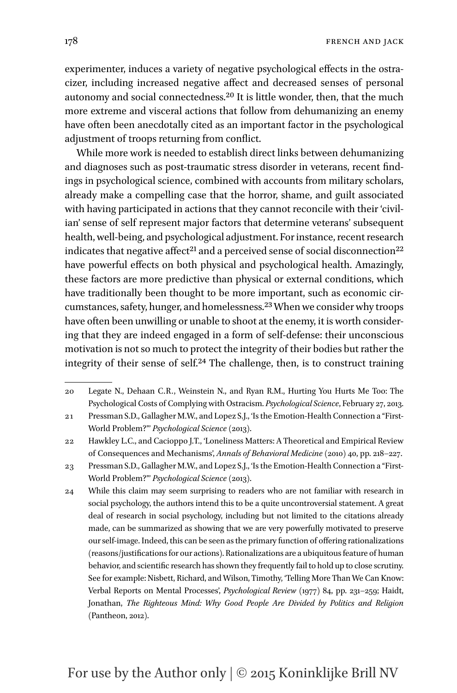178 FRENCH AND JACK

experimenter, induces a variety of negative psychological effects in the ostracizer, including increased negative affect and decreased senses of personal autonomy and social connectedness.20 It is little wonder, then, that the much more extreme and visceral actions that follow from dehumanizing an enemy have often been anecdotally cited as an important factor in the psychological adjustment of troops returning from conflict.

While more work is needed to establish direct links between dehumanizing and diagnoses such as post-traumatic stress disorder in veterans, recent findings in psychological science, combined with accounts from military scholars, already make a compelling case that the horror, shame, and guilt associated with having participated in actions that they cannot reconcile with their 'civilian' sense of self represent major factors that determine veterans' subsequent health, well-being, and psychological adjustment. For instance, recent research indicates that negative affect<sup>21</sup> and a perceived sense of social disconnection<sup>22</sup> have powerful effects on both physical and psychological health. Amazingly, these factors are more predictive than physical or external conditions, which have traditionally been thought to be more important, such as economic circumstances, safety, hunger, and homelessness.23 When we consider why troops have often been unwilling or unable to shoot at the enemy, it is worth considering that they are indeed engaged in a form of self-defense: their unconscious motivation is not so much to protect the integrity of their bodies but rather the integrity of their sense of self.24 The challenge, then, is to construct training

<sup>20</sup> Legate N., Dehaan C.R., Weinstein N., and Ryan R.M., Hurting You Hurts Me Too: The Psychological Costs of Complying with Ostracism. *Psychological Science*, February 27, 2013.

<sup>21</sup> Pressman S.D., Gallagher M.W., and Lopez S.J., 'Is the Emotion-Health Connection a "First-World Problem?"' *Psychological Science* (2013).

<sup>22</sup> Hawkley L.C., and Cacioppo J.T., 'Loneliness Matters: A Theoretical and Empirical Review of Consequences and Mechanisms', *Annals of Behavioral Medicine* (2010) 40, pp. 218–227.

<sup>23</sup> Pressman S.D., Gallagher M.W., and Lopez S.J., 'Is the Emotion-Health Connection a "First-World Problem?"' *Psychological Science* (2013).

<sup>24</sup> While this claim may seem surprising to readers who are not familiar with research in social psychology, the authors intend this to be a quite uncontroversial statement. A great deal of research in social psychology, including but not limited to the citations already made, can be summarized as showing that we are very powerfully motivated to preserve our self-image. Indeed, this can be seen as the primary function of offering rationalizations (reasons/justifications for our actions). Rationalizations are a ubiquitous feature of human behavior, and scientific research has shown they frequently fail to hold up to close scrutiny. See for example: Nisbett, Richard, and Wilson, Timothy, 'Telling More Than We Can Know: Verbal Reports on Mental Processes', *Psychological Review* (1977) 84, pp. 231–259; Haidt, Jonathan, *The Righteous Mind: Why Good People Are Divided by Politics and Religion* (Pantheon, 2012).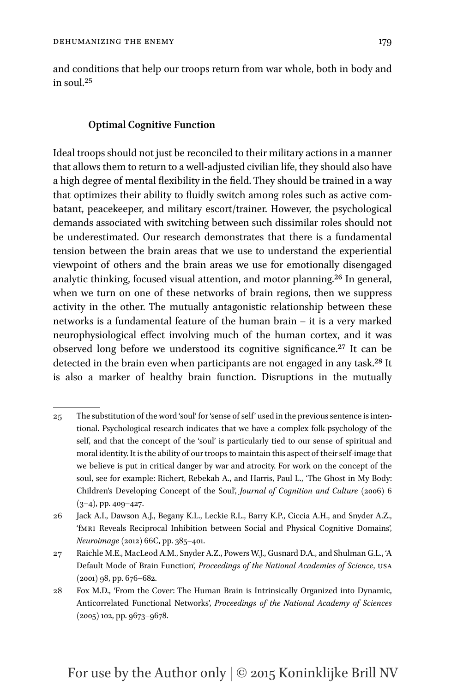and conditions that help our troops return from war whole, both in body and in soul.25

#### **Optimal Cognitive Function**

Ideal troops should not just be reconciled to their military actions in a manner that allows them to return to a well-adjusted civilian life, they should also have a high degree of mental flexibility in the field. They should be trained in a way that optimizes their ability to fluidly switch among roles such as active combatant, peacekeeper, and military escort/trainer. However, the psychological demands associated with switching between such dissimilar roles should not be underestimated. Our research demonstrates that there is a fundamental tension between the brain areas that we use to understand the experiential viewpoint of others and the brain areas we use for emotionally disengaged analytic thinking, focused visual attention, and motor planning.<sup>26</sup> In general, when we turn on one of these networks of brain regions, then we suppress activity in the other. The mutually antagonistic relationship between these networks is a fundamental feature of the human brain – it is a very marked neurophysiological effect involving much of the human cortex, and it was observed long before we understood its cognitive significance.27 It can be detected in the brain even when participants are not engaged in any task.<sup>28</sup> It is also a marker of healthy brain function. Disruptions in the mutually

<sup>25</sup> The substitution of the word 'soul' for 'sense of self' used in the previous sentence is intentional. Psychological research indicates that we have a complex folk-psychology of the self, and that the concept of the 'soul' is particularly tied to our sense of spiritual and moral identity. It is the ability of our troops to maintain this aspect of their self-image that we believe is put in critical danger by war and atrocity. For work on the concept of the soul, see for example: Richert, Rebekah A., and Harris, Paul L., 'The Ghost in My Body: Children's Developing Concept of the Soul', *Journal of Cognition and Culture* (2006) 6  $(3-4)$ , pp. 409-427.

<sup>26</sup> Jack A.I., Dawson A.J., Begany K.L., Leckie R.L., Barry K.P., Ciccia A.H., and Snyder A.Z., 'fmri Reveals Reciprocal Inhibition between Social and Physical Cognitive Domains', *Neuroimage* (2012) 66C, pp. 385–401.

<sup>27</sup> Raichle M.E., MacLeod A.M., Snyder A.Z., Powers W.J., Gusnard D.A., and Shulman G.L., 'A Default Mode of Brain Function', *Proceedings of the National Academies of Science*, usa (2001) 98, pp. 676–682.

<sup>28</sup> Fox M.D., 'From the Cover: The Human Brain is Intrinsically Organized into Dynamic, Anticorrelated Functional Networks', *Proceedings of the National Academy of Sciences* (2005) 102, pp. 9673–9678.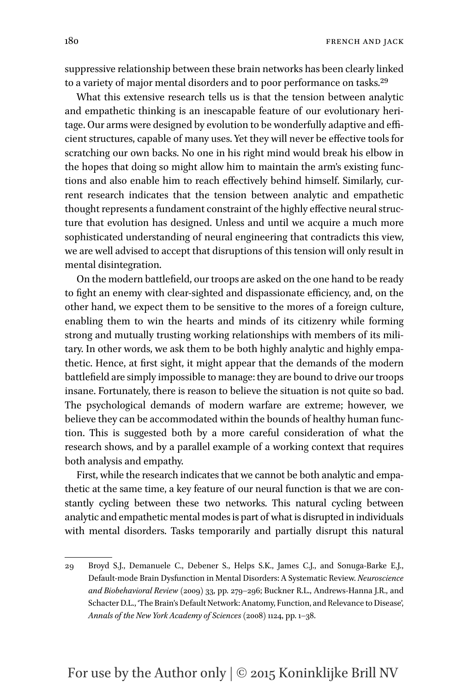suppressive relationship between these brain networks has been clearly linked to a variety of major mental disorders and to poor performance on tasks.<sup>29</sup>

What this extensive research tells us is that the tension between analytic and empathetic thinking is an inescapable feature of our evolutionary heritage. Our arms were designed by evolution to be wonderfully adaptive and efficient structures, capable of many uses. Yet they will never be effective tools for scratching our own backs. No one in his right mind would break his elbow in the hopes that doing so might allow him to maintain the arm's existing functions and also enable him to reach effectively behind himself. Similarly, current research indicates that the tension between analytic and empathetic thought represents a fundament constraint of the highly effective neural structure that evolution has designed. Unless and until we acquire a much more sophisticated understanding of neural engineering that contradicts this view, we are well advised to accept that disruptions of this tension will only result in mental disintegration.

On the modern battlefield, our troops are asked on the one hand to be ready to fight an enemy with clear-sighted and dispassionate efficiency, and, on the other hand, we expect them to be sensitive to the mores of a foreign culture, enabling them to win the hearts and minds of its citizenry while forming strong and mutually trusting working relationships with members of its military. In other words, we ask them to be both highly analytic and highly empathetic. Hence, at first sight, it might appear that the demands of the modern battlefield are simply impossible to manage: they are bound to drive our troops insane. Fortunately, there is reason to believe the situation is not quite so bad. The psychological demands of modern warfare are extreme; however, we believe they can be accommodated within the bounds of healthy human function. This is suggested both by a more careful consideration of what the research shows, and by a parallel example of a working context that requires both analysis and empathy.

First, while the research indicates that we cannot be both analytic and empathetic at the same time, a key feature of our neural function is that we are constantly cycling between these two networks. This natural cycling between analytic and empathetic mental modes is part of what is disrupted in individuals with mental disorders. Tasks temporarily and partially disrupt this natural

<sup>29</sup> Broyd S.J., Demanuele C., Debener S., Helps S.K., James C.J., and Sonuga-Barke E.J., Default-mode Brain Dysfunction in Mental Disorders: A Systematic Review. *Neuroscience and Biobehavioral Review* (2009) 33, pp. 279–296; Buckner R.L., Andrews-Hanna J.R., and Schacter D.L., 'The Brain's Default Network: Anatomy, Function, and Relevance to Disease', *Annals of the New York Academy of Sciences* (2008) 1124, pp. 1–38.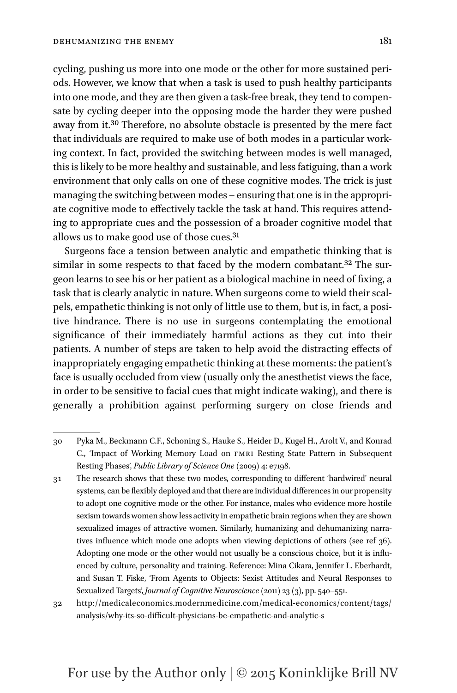cycling, pushing us more into one mode or the other for more sustained periods. However, we know that when a task is used to push healthy participants into one mode, and they are then given a task-free break, they tend to compensate by cycling deeper into the opposing mode the harder they were pushed away from it.30 Therefore, no absolute obstacle is presented by the mere fact that individuals are required to make use of both modes in a particular working context. In fact, provided the switching between modes is well managed, this is likely to be more healthy and sustainable, and less fatiguing, than a work environment that only calls on one of these cognitive modes. The trick is just managing the switching between modes – ensuring that one is in the appropriate cognitive mode to effectively tackle the task at hand. This requires attending to appropriate cues and the possession of a broader cognitive model that allows us to make good use of those cues.<sup>31</sup>

Surgeons face a tension between analytic and empathetic thinking that is similar in some respects to that faced by the modern combatant.<sup>32</sup> The surgeon learns to see his or her patient as a biological machine in need of fixing, a task that is clearly analytic in nature. When surgeons come to wield their scalpels, empathetic thinking is not only of little use to them, but is, in fact, a positive hindrance. There is no use in surgeons contemplating the emotional significance of their immediately harmful actions as they cut into their patients. A number of steps are taken to help avoid the distracting effects of inappropriately engaging empathetic thinking at these moments: the patient's face is usually occluded from view (usually only the anesthetist views the face, in order to be sensitive to facial cues that might indicate waking), and there is generally a prohibition against performing surgery on close friends and

<sup>30</sup> Pyka M., Beckmann C.F., Schoning S., Hauke S., Heider D., Kugel H., Arolt V., and Konrad C., 'Impact of Working Memory Load on fmri Resting State Pattern in Subsequent Resting Phases', *Public Library of Science One* (2009) 4: e7198.

<sup>31</sup> The research shows that these two modes, corresponding to different 'hardwired' neural systems, can be flexibly deployed and that there are individual differences in our propensity to adopt one cognitive mode or the other. For instance, males who evidence more hostile sexism towards women show less activity in empathetic brain regions when they are shown sexualized images of attractive women. Similarly, humanizing and dehumanizing narratives influence which mode one adopts when viewing depictions of others (see ref 36). Adopting one mode or the other would not usually be a conscious choice, but it is influenced by culture, personality and training. Reference: Mina Cikara, Jennifer L. Eberhardt, and Susan T. Fiske, 'From Agents to Objects: Sexist Attitudes and Neural Responses to Sexualized Targets', *Journal of Cognitive Neuroscience* (2011) 23 (3), pp. 540–551.

<sup>32</sup> [http://medicaleconomics.modernmedicine.com/medical-economics/content/tags/](http://medicaleconomics.modernmedicine.com/medical-economics/content/tags/analysis/why-its-so-difficult-physicians-be-empathetic-and-analytic-s) [analysis/why-its-so-difficult-physicians-be-empathetic-and-analytic-s](http://medicaleconomics.modernmedicine.com/medical-economics/content/tags/analysis/why-its-so-difficult-physicians-be-empathetic-and-analytic-s)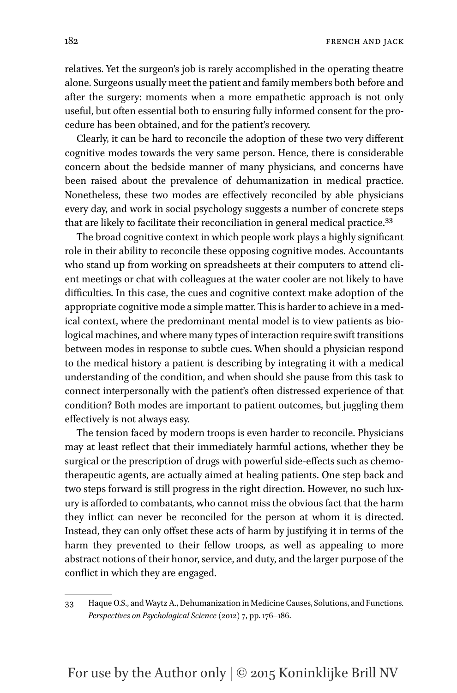relatives. Yet the surgeon's job is rarely accomplished in the operating theatre alone. Surgeons usually meet the patient and family members both before and after the surgery: moments when a more empathetic approach is not only useful, but often essential both to ensuring fully informed consent for the procedure has been obtained, and for the patient's recovery.

Clearly, it can be hard to reconcile the adoption of these two very different cognitive modes towards the very same person. Hence, there is considerable concern about the bedside manner of many physicians, and concerns have been raised about the prevalence of dehumanization in medical practice. Nonetheless, these two modes are effectively reconciled by able physicians every day, and work in social psychology suggests a number of concrete steps that are likely to facilitate their reconciliation in general medical practice.<sup>33</sup>

The broad cognitive context in which people work plays a highly significant role in their ability to reconcile these opposing cognitive modes. Accountants who stand up from working on spreadsheets at their computers to attend client meetings or chat with colleagues at the water cooler are not likely to have difficulties. In this case, the cues and cognitive context make adoption of the appropriate cognitive mode a simple matter. This is harder to achieve in a medical context, where the predominant mental model is to view patients as biological machines, and where many types of interaction require swift transitions between modes in response to subtle cues. When should a physician respond to the medical history a patient is describing by integrating it with a medical understanding of the condition, and when should she pause from this task to connect interpersonally with the patient's often distressed experience of that condition? Both modes are important to patient outcomes, but juggling them effectively is not always easy.

The tension faced by modern troops is even harder to reconcile. Physicians may at least reflect that their immediately harmful actions, whether they be surgical or the prescription of drugs with powerful side-effects such as chemotherapeutic agents, are actually aimed at healing patients. One step back and two steps forward is still progress in the right direction. However, no such luxury is afforded to combatants, who cannot miss the obvious fact that the harm they inflict can never be reconciled for the person at whom it is directed. Instead, they can only offset these acts of harm by justifying it in terms of the harm they prevented to their fellow troops, as well as appealing to more abstract notions of their honor, service, and duty, and the larger purpose of the conflict in which they are engaged.

<sup>33</sup> Haque O.S., and Waytz A., Dehumanization in Medicine Causes, Solutions, and Functions. *Perspectives on Psychological Science* (2012) 7, pp. 176–186.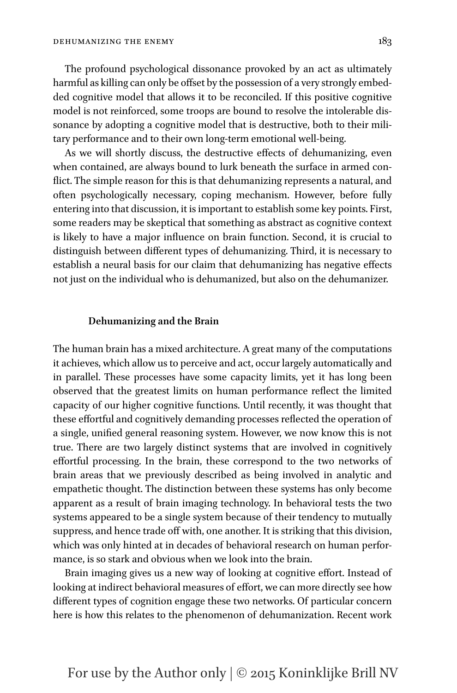The profound psychological dissonance provoked by an act as ultimately harmful as killing can only be offset by the possession of a very strongly embedded cognitive model that allows it to be reconciled. If this positive cognitive model is not reinforced, some troops are bound to resolve the intolerable dissonance by adopting a cognitive model that is destructive, both to their military performance and to their own long-term emotional well-being.

As we will shortly discuss, the destructive effects of dehumanizing, even when contained, are always bound to lurk beneath the surface in armed conflict. The simple reason for this is that dehumanizing represents a natural, and often psychologically necessary, coping mechanism. However, before fully entering into that discussion, it is important to establish some key points. First, some readers may be skeptical that something as abstract as cognitive context is likely to have a major influence on brain function. Second, it is crucial to distinguish between different types of dehumanizing. Third, it is necessary to establish a neural basis for our claim that dehumanizing has negative effects not just on the individual who is dehumanized, but also on the dehumanizer.

#### **Dehumanizing and the Brain**

The human brain has a mixed architecture. A great many of the computations it achieves, which allow us to perceive and act, occur largely automatically and in parallel. These processes have some capacity limits, yet it has long been observed that the greatest limits on human performance reflect the limited capacity of our higher cognitive functions. Until recently, it was thought that these effortful and cognitively demanding processes reflected the operation of a single, unified general reasoning system. However, we now know this is not true. There are two largely distinct systems that are involved in cognitively effortful processing. In the brain, these correspond to the two networks of brain areas that we previously described as being involved in analytic and empathetic thought. The distinction between these systems has only become apparent as a result of brain imaging technology. In behavioral tests the two systems appeared to be a single system because of their tendency to mutually suppress, and hence trade off with, one another. It is striking that this division, which was only hinted at in decades of behavioral research on human performance, is so stark and obvious when we look into the brain.

Brain imaging gives us a new way of looking at cognitive effort. Instead of looking at indirect behavioral measures of effort, we can more directly see how different types of cognition engage these two networks. Of particular concern here is how this relates to the phenomenon of dehumanization. Recent work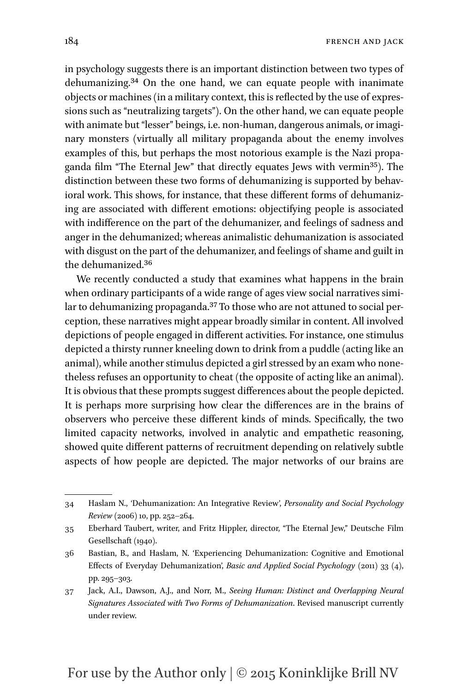in psychology suggests there is an important distinction between two types of dehumanizing.34 On the one hand, we can equate people with inanimate objects or machines (in a military context, this is reflected by the use of expressions such as "neutralizing targets"). On the other hand, we can equate people with animate but "lesser" beings, i.e. non-human, dangerous animals, or imaginary monsters (virtually all military propaganda about the enemy involves examples of this, but perhaps the most notorious example is the Nazi propaganda film "The Eternal Jew" that directly equates Jews with vermin35). The distinction between these two forms of dehumanizing is supported by behavioral work. This shows, for instance, that these different forms of dehumanizing are associated with different emotions: objectifying people is associated with indifference on the part of the dehumanizer, and feelings of sadness and anger in the dehumanized; whereas animalistic dehumanization is associated with disgust on the part of the dehumanizer, and feelings of shame and guilt in the dehumanized.36

We recently conducted a study that examines what happens in the brain when ordinary participants of a wide range of ages view social narratives similar to dehumanizing propaganda.<sup>37</sup> To those who are not attuned to social perception, these narratives might appear broadly similar in content. All involved depictions of people engaged in different activities. For instance, one stimulus depicted a thirsty runner kneeling down to drink from a puddle (acting like an animal), while another stimulus depicted a girl stressed by an exam who nonetheless refuses an opportunity to cheat (the opposite of acting like an animal). It is obvious that these prompts suggest differences about the people depicted. It is perhaps more surprising how clear the differences are in the brains of observers who perceive these different kinds of minds. Specifically, the two limited capacity networks, involved in analytic and empathetic reasoning, showed quite different patterns of recruitment depending on relatively subtle aspects of how people are depicted. The major networks of our brains are

<sup>34</sup> Haslam N., 'Dehumanization: An Integrative Review', *Personality and Social Psychology Review* (2006) 10, pp. 252–264.

<sup>35</sup> Eberhard Taubert, writer, and Fritz Hippler, director, "The Eternal Jew," Deutsche Film Gesellschaft (1940).

<sup>36</sup> Bastian, B., and Haslam, N. 'Experiencing Dehumanization: Cognitive and Emotional Effects of Everyday Dehumanization', *Basic and Applied Social Psychology* (2011) 33 (4), pp. 295–303.

<sup>37</sup> Jack, A.I., Dawson, A.J., and Norr, M., *Seeing Human: Distinct and Overlapping Neural Signatures Associated with Two Forms of Dehumanization*. Revised manuscript currently under review.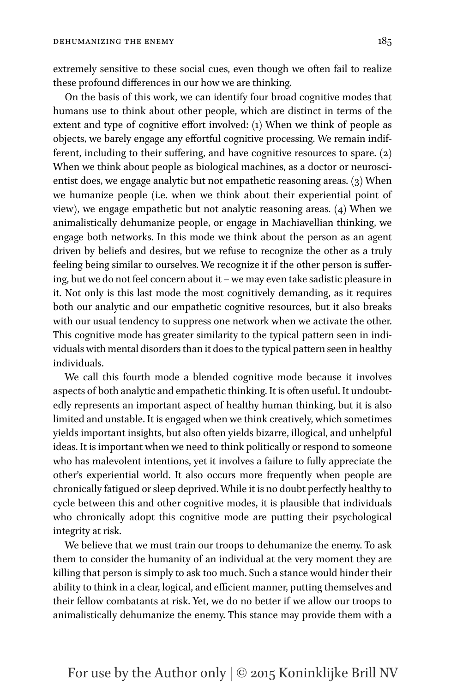extremely sensitive to these social cues, even though we often fail to realize these profound differences in our how we are thinking.

On the basis of this work, we can identify four broad cognitive modes that humans use to think about other people, which are distinct in terms of the extent and type of cognitive effort involved: (1) When we think of people as objects, we barely engage any effortful cognitive processing. We remain indifferent, including to their suffering, and have cognitive resources to spare. (2) When we think about people as biological machines, as a doctor or neuroscientist does, we engage analytic but not empathetic reasoning areas. (3) When we humanize people (i.e. when we think about their experiential point of view), we engage empathetic but not analytic reasoning areas. (4) When we animalistically dehumanize people, or engage in Machiavellian thinking, we engage both networks. In this mode we think about the person as an agent driven by beliefs and desires, but we refuse to recognize the other as a truly feeling being similar to ourselves. We recognize it if the other person is suffering, but we do not feel concern about it – we may even take sadistic pleasure in it. Not only is this last mode the most cognitively demanding, as it requires both our analytic and our empathetic cognitive resources, but it also breaks with our usual tendency to suppress one network when we activate the other. This cognitive mode has greater similarity to the typical pattern seen in individuals with mental disorders than it does to the typical pattern seen in healthy individuals.

We call this fourth mode a blended cognitive mode because it involves aspects of both analytic and empathetic thinking. It is often useful. It undoubtedly represents an important aspect of healthy human thinking, but it is also limited and unstable. It is engaged when we think creatively, which sometimes yields important insights, but also often yields bizarre, illogical, and unhelpful ideas. It is important when we need to think politically or respond to someone who has malevolent intentions, yet it involves a failure to fully appreciate the other's experiential world. It also occurs more frequently when people are chronically fatigued or sleep deprived. While it is no doubt perfectly healthy to cycle between this and other cognitive modes, it is plausible that individuals who chronically adopt this cognitive mode are putting their psychological integrity at risk.

We believe that we must train our troops to dehumanize the enemy. To ask them to consider the humanity of an individual at the very moment they are killing that person is simply to ask too much. Such a stance would hinder their ability to think in a clear, logical, and efficient manner, putting themselves and their fellow combatants at risk. Yet, we do no better if we allow our troops to animalistically dehumanize the enemy. This stance may provide them with a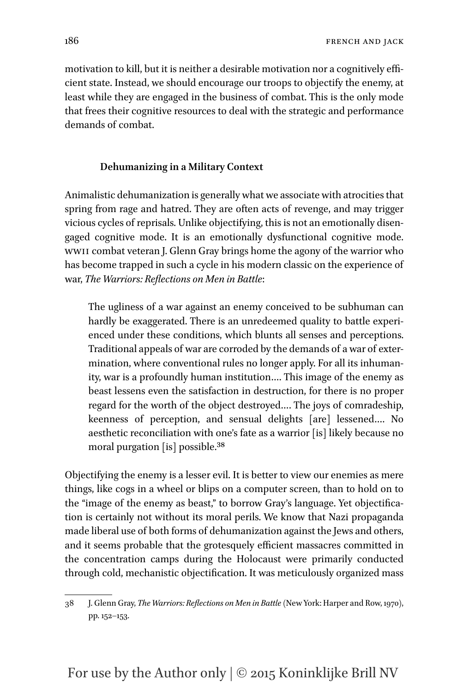motivation to kill, but it is neither a desirable motivation nor a cognitively efficient state. Instead, we should encourage our troops to objectify the enemy, at least while they are engaged in the business of combat. This is the only mode that frees their cognitive resources to deal with the strategic and performance demands of combat.

#### **Dehumanizing in a Military Context**

Animalistic dehumanization is generally what we associate with atrocities that spring from rage and hatred. They are often acts of revenge, and may trigger vicious cycles of reprisals. Unlike objectifying, this is not an emotionally disengaged cognitive mode. It is an emotionally dysfunctional cognitive mode. wwii combat veteran J. Glenn Gray brings home the agony of the warrior who has become trapped in such a cycle in his modern classic on the experience of war, *The Warriors: Reflections on Men in Battle*:

The ugliness of a war against an enemy conceived to be subhuman can hardly be exaggerated. There is an unredeemed quality to battle experienced under these conditions, which blunts all senses and perceptions. Traditional appeals of war are corroded by the demands of a war of extermination, where conventional rules no longer apply. For all its inhumanity, war is a profoundly human institution…. This image of the enemy as beast lessens even the satisfaction in destruction, for there is no proper regard for the worth of the object destroyed…. The joys of comradeship, keenness of perception, and sensual delights [are] lessened…. No aesthetic reconciliation with one's fate as a warrior [is] likely because no moral purgation [is] possible.38

Objectifying the enemy is a lesser evil. It is better to view our enemies as mere things, like cogs in a wheel or blips on a computer screen, than to hold on to the "image of the enemy as beast," to borrow Gray's language. Yet objectification is certainly not without its moral perils. We know that Nazi propaganda made liberal use of both forms of dehumanization against the Jews and others, and it seems probable that the grotesquely efficient massacres committed in the concentration camps during the Holocaust were primarily conducted through cold, mechanistic objectification. It was meticulously organized mass

<sup>38</sup> J. Glenn Gray, *The Warriors: Reflections on Men in Battle* (New York: Harper and Row, 1970), pp. 152–153.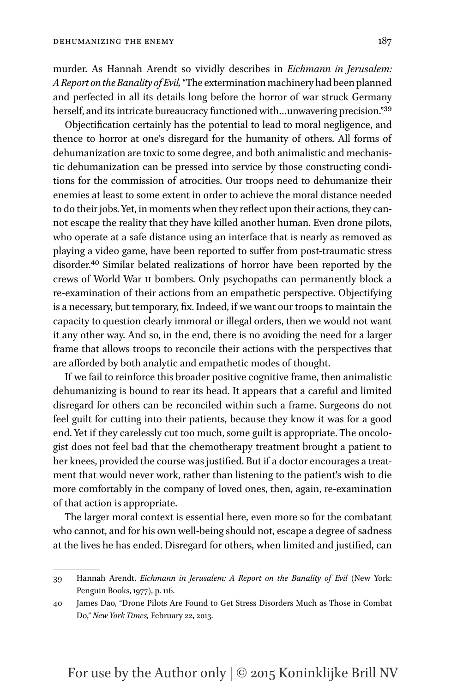murder. As Hannah Arendt so vividly describes in *Eichmann in Jerusalem: A Report on the Banality of Evil,* "The extermination machinery had been planned and perfected in all its details long before the horror of war struck Germany herself, and its intricate bureaucracy functioned with...unwavering precision."39

Objectification certainly has the potential to lead to moral negligence, and thence to horror at one's disregard for the humanity of others. All forms of dehumanization are toxic to some degree, and both animalistic and mechanistic dehumanization can be pressed into service by those constructing conditions for the commission of atrocities. Our troops need to dehumanize their enemies at least to some extent in order to achieve the moral distance needed to do their jobs. Yet, in moments when they reflect upon their actions, they cannot escape the reality that they have killed another human. Even drone pilots, who operate at a safe distance using an interface that is nearly as removed as playing a video game, have been reported to suffer from post-traumatic stress disorder.40 Similar belated realizations of horror have been reported by the crews of World War ii bombers. Only psychopaths can permanently block a re-examination of their actions from an empathetic perspective. Objectifying is a necessary, but temporary, fix. Indeed, if we want our troops to maintain the capacity to question clearly immoral or illegal orders, then we would not want it any other way. And so, in the end, there is no avoiding the need for a larger frame that allows troops to reconcile their actions with the perspectives that are afforded by both analytic and empathetic modes of thought.

If we fail to reinforce this broader positive cognitive frame, then animalistic dehumanizing is bound to rear its head. It appears that a careful and limited disregard for others can be reconciled within such a frame. Surgeons do not feel guilt for cutting into their patients, because they know it was for a good end. Yet if they carelessly cut too much, some guilt is appropriate. The oncologist does not feel bad that the chemotherapy treatment brought a patient to her knees, provided the course was justified. But if a doctor encourages a treatment that would never work, rather than listening to the patient's wish to die more comfortably in the company of loved ones, then, again, re-examination of that action is appropriate.

The larger moral context is essential here, even more so for the combatant who cannot, and for his own well-being should not, escape a degree of sadness at the lives he has ended. Disregard for others, when limited and justified, can

<sup>39</sup> Hannah Arendt, *Eichmann in Jerusalem: A Report on the Banality of Evil* (New York: Penguin Books, 1977), p. 116.

<sup>40</sup> James Dao, "Drone Pilots Are Found to Get Stress Disorders Much as Those in Combat Do," *New York Times,* February 22, 2013.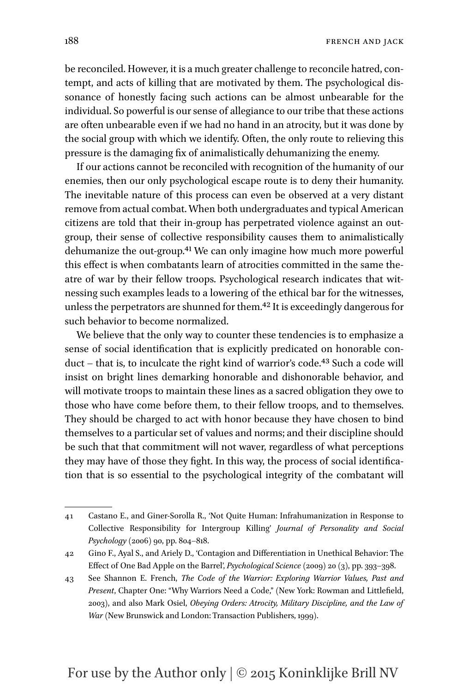be reconciled. However, it is a much greater challenge to reconcile hatred, contempt, and acts of killing that are motivated by them. The psychological dissonance of honestly facing such actions can be almost unbearable for the individual. So powerful is our sense of allegiance to our tribe that these actions are often unbearable even if we had no hand in an atrocity, but it was done by the social group with which we identify. Often, the only route to relieving this pressure is the damaging fix of animalistically dehumanizing the enemy.

If our actions cannot be reconciled with recognition of the humanity of our enemies, then our only psychological escape route is to deny their humanity. The inevitable nature of this process can even be observed at a very distant remove from actual combat. When both undergraduates and typical American citizens are told that their in-group has perpetrated violence against an outgroup, their sense of collective responsibility causes them to animalistically dehumanize the out-group.<sup>41</sup> We can only imagine how much more powerful this effect is when combatants learn of atrocities committed in the same theatre of war by their fellow troops. Psychological research indicates that witnessing such examples leads to a lowering of the ethical bar for the witnesses, unless the perpetrators are shunned for them.42 It is exceedingly dangerous for such behavior to become normalized.

We believe that the only way to counter these tendencies is to emphasize a sense of social identification that is explicitly predicated on honorable conduct – that is, to inculcate the right kind of warrior's code.43 Such a code will insist on bright lines demarking honorable and dishonorable behavior, and will motivate troops to maintain these lines as a sacred obligation they owe to those who have come before them, to their fellow troops, and to themselves. They should be charged to act with honor because they have chosen to bind themselves to a particular set of values and norms; and their discipline should be such that that commitment will not waver, regardless of what perceptions they may have of those they fight. In this way, the process of social identification that is so essential to the psychological integrity of the combatant will

<sup>41</sup> Castano E., and Giner-Sorolla R., 'Not Quite Human: Infrahumanization in Response to Collective Responsibility for Intergroup Killing' *Journal of Personality and Social Psychology* (2006) 90, pp. 804–818.

<sup>42</sup> Gino F., Ayal S., and Ariely D., 'Contagion and Differentiation in Unethical Behavior: The Effect of One Bad Apple on the Barrel', *Psychological Science* (2009) 20 (3), pp. 393–398.

<sup>43</sup> See Shannon E. French, *The Code of the Warrior: Exploring Warrior Values, Past and Present*, Chapter One: "Why Warriors Need a Code," (New York: Rowman and Littlefield, 2003), and also Mark Osiel, *Obeying Orders: Atrocity, Military Discipline, and the Law of War* (New Brunswick and London: Transaction Publishers, 1999).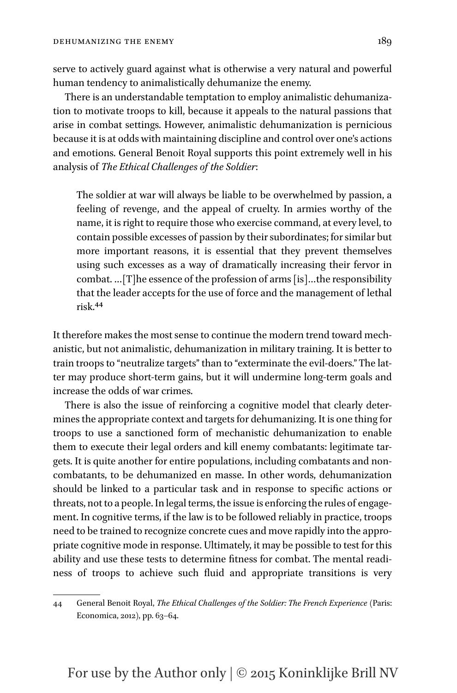serve to actively guard against what is otherwise a very natural and powerful human tendency to animalistically dehumanize the enemy.

There is an understandable temptation to employ animalistic dehumanization to motivate troops to kill, because it appeals to the natural passions that arise in combat settings. However, animalistic dehumanization is pernicious because it is at odds with maintaining discipline and control over one's actions and emotions. General Benoit Royal supports this point extremely well in his analysis of *The Ethical Challenges of the Soldier*:

The soldier at war will always be liable to be overwhelmed by passion, a feeling of revenge, and the appeal of cruelty. In armies worthy of the name, it is right to require those who exercise command, at every level, to contain possible excesses of passion by their subordinates; for similar but more important reasons, it is essential that they prevent themselves using such excesses as a way of dramatically increasing their fervor in combat. …[T]he essence of the profession of arms [is]…the responsibility that the leader accepts for the use of force and the management of lethal risk.44

It therefore makes the most sense to continue the modern trend toward mechanistic, but not animalistic, dehumanization in military training. It is better to train troops to "neutralize targets" than to "exterminate the evil-doers." The latter may produce short-term gains, but it will undermine long-term goals and increase the odds of war crimes.

There is also the issue of reinforcing a cognitive model that clearly determines the appropriate context and targets for dehumanizing. It is one thing for troops to use a sanctioned form of mechanistic dehumanization to enable them to execute their legal orders and kill enemy combatants: legitimate targets. It is quite another for entire populations, including combatants and noncombatants, to be dehumanized en masse. In other words, dehumanization should be linked to a particular task and in response to specific actions or threats, not to a people. In legal terms, the issue is enforcing the rules of engagement. In cognitive terms, if the law is to be followed reliably in practice, troops need to be trained to recognize concrete cues and move rapidly into the appropriate cognitive mode in response. Ultimately, it may be possible to test for this ability and use these tests to determine fitness for combat. The mental readiness of troops to achieve such fluid and appropriate transitions is very

<sup>44</sup> General Benoit Royal, *The Ethical Challenges of the Soldier: The French Experience* (Paris: Economica, 2012), pp. 63–64.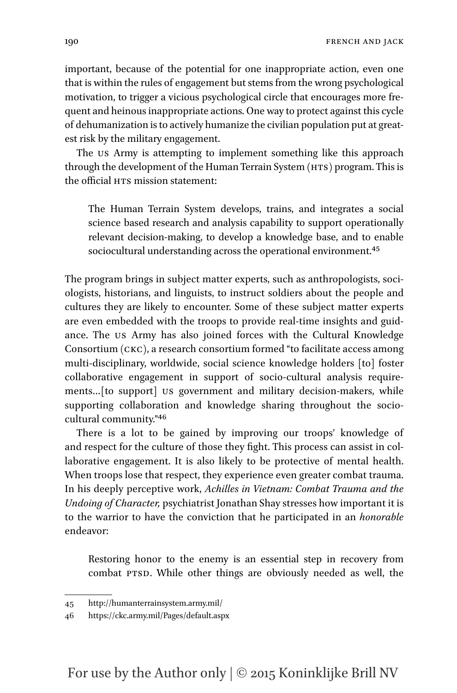important, because of the potential for one inappropriate action, even one that is within the rules of engagement but stems from the wrong psychological motivation, to trigger a vicious psychological circle that encourages more frequent and heinous inappropriate actions. One way to protect against this cycle of dehumanization is to actively humanize the civilian population put at greatest risk by the military engagement.

The us Army is attempting to implement something like this approach through the development of the Human Terrain System (HTS) program. This is  $the$  official  $HTS$  mission statement:

The Human Terrain System develops, trains, and integrates a social science based research and analysis capability to support operationally relevant decision-making, to develop a knowledge base, and to enable sociocultural understanding across the operational environment.<sup>45</sup>

The program brings in subject matter experts, such as anthropologists, sociologists, historians, and linguists, to instruct soldiers about the people and cultures they are likely to encounter. Some of these subject matter experts are even embedded with the troops to provide real-time insights and guidance. The us Army has also joined forces with the Cultural Knowledge Consortium (ckc), a research consortium formed "to facilitate access among multi-disciplinary, worldwide, social science knowledge holders [to] foster collaborative engagement in support of socio-cultural analysis requirements…[to support] us government and military decision-makers, while supporting collaboration and knowledge sharing throughout the sociocultural community."46

There is a lot to be gained by improving our troops' knowledge of and respect for the culture of those they fight. This process can assist in collaborative engagement. It is also likely to be protective of mental health. When troops lose that respect, they experience even greater combat trauma. In his deeply perceptive work, *Achilles in Vietnam: Combat Trauma and the Undoing of Character,* psychiatrist Jonathan Shay stresses how important it is to the warrior to have the conviction that he participated in an *honorable* endeavor:

Restoring honor to the enemy is an essential step in recovery from combat PTSD. While other things are obviously needed as well, the

<sup>45</sup> <http://humanterrainsystem.army.mil/>

<sup>46</sup> <https://ckc.army.mil/Pages/default.aspx>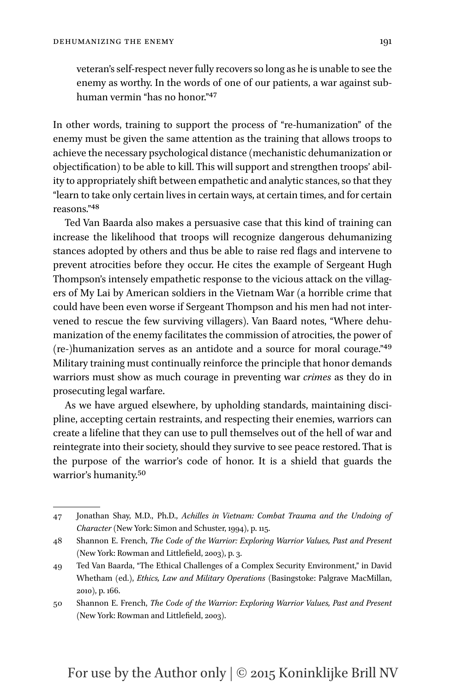veteran's self-respect never fully recovers so long as he is unable to see the enemy as worthy. In the words of one of our patients, a war against subhuman vermin "has no honor."47

In other words, training to support the process of "re-humanization" of the enemy must be given the same attention as the training that allows troops to achieve the necessary psychological distance (mechanistic dehumanization or objectification) to be able to kill. This will support and strengthen troops' ability to appropriately shift between empathetic and analytic stances, so that they "learn to take only certain lives in certain ways, at certain times, and for certain reasons."48

Ted Van Baarda also makes a persuasive case that this kind of training can increase the likelihood that troops will recognize dangerous dehumanizing stances adopted by others and thus be able to raise red flags and intervene to prevent atrocities before they occur. He cites the example of Sergeant Hugh Thompson's intensely empathetic response to the vicious attack on the villagers of My Lai by American soldiers in the Vietnam War (a horrible crime that could have been even worse if Sergeant Thompson and his men had not intervened to rescue the few surviving villagers). Van Baard notes, "Where dehumanization of the enemy facilitates the commission of atrocities, the power of (re-)humanization serves as an antidote and a source for moral courage."49 Military training must continually reinforce the principle that honor demands warriors must show as much courage in preventing war *crimes* as they do in prosecuting legal warfare.

As we have argued elsewhere, by upholding standards, maintaining discipline, accepting certain restraints, and respecting their enemies, warriors can create a lifeline that they can use to pull themselves out of the hell of war and reintegrate into their society, should they survive to see peace restored. That is the purpose of the warrior's code of honor. It is a shield that guards the warrior's humanity.50

<sup>47</sup> Jonathan Shay, M.D., Ph.D., *Achilles in Vietnam: Combat Trauma and the Undoing of Character* (New York: Simon and Schuster, 1994), p. 115.

<sup>48</sup> Shannon E. French, *The Code of the Warrior: Exploring Warrior Values, Past and Present* (New York: Rowman and Littlefield, 2003), p. 3.

<sup>49</sup> Ted Van Baarda, "The Ethical Challenges of a Complex Security Environment," in David Whetham (ed.), *Ethics, Law and Military Operations* (Basingstoke: Palgrave MacMillan, 2010), p. 166.

<sup>50</sup> Shannon E. French, *The Code of the Warrior: Exploring Warrior Values, Past and Present* (New York: Rowman and Littlefield, 2003).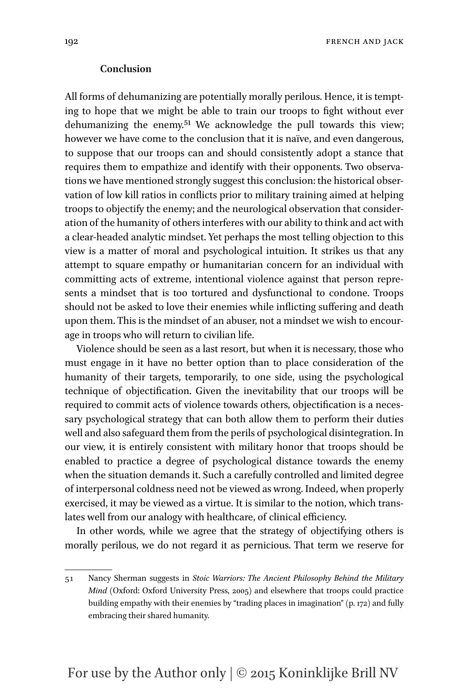192 FRENCH AND JACK

#### **Conclusion**

All forms of dehumanizing are potentially morally perilous. Hence, it is tempting to hope that we might be able to train our troops to fight without ever dehumanizing the enemy.<sup>51</sup> We acknowledge the pull towards this view; however we have come to the conclusion that it is naïve, and even dangerous, to suppose that our troops can and should consistently adopt a stance that requires them to empathize and identify with their opponents. Two observations we have mentioned strongly suggest this conclusion: the historical observation of low kill ratios in conflicts prior to military training aimed at helping troops to objectify the enemy; and the neurological observation that consideration of the humanity of others interferes with our ability to think and act with a clear-headed analytic mindset. Yet perhaps the most telling objection to this view is a matter of moral and psychological intuition. It strikes us that any attempt to square empathy or humanitarian concern for an individual with committing acts of extreme, intentional violence against that person represents a mindset that is too tortured and dysfunctional to condone. Troops should not be asked to love their enemies while inflicting suffering and death upon them. This is the mindset of an abuser, not a mindset we wish to encourage in troops who will return to civilian life.

Violence should be seen as a last resort, but when it is necessary, those who must engage in it have no better option than to place consideration of the humanity of their targets, temporarily, to one side, using the psychological technique of objectification. Given the inevitability that our troops will be required to commit acts of violence towards others, objectification is a necessary psychological strategy that can both allow them to perform their duties well and also safeguard them from the perils of psychological disintegration. In our view, it is entirely consistent with military honor that troops should be enabled to practice a degree of psychological distance towards the enemy when the situation demands it. Such a carefully controlled and limited degree of interpersonal coldness need not be viewed as wrong. Indeed, when properly exercised, it may be viewed as a virtue. It is similar to the notion, which translates well from our analogy with healthcare, of clinical efficiency.

In other words, while we agree that the strategy of objectifying others is morally perilous, we do not regard it as pernicious. That term we reserve for

<sup>51</sup> Nancy Sherman suggests in *Stoic Warriors: The Ancient Philosophy Behind the Military Mind* (Oxford: Oxford University Press, 2005) and elsewhere that troops could practice building empathy with their enemies by "trading places in imagination" (p. 172) and fully embracing their shared humanity.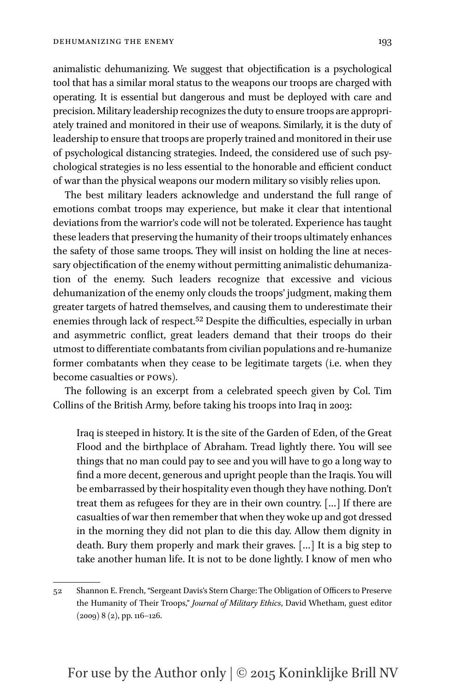animalistic dehumanizing. We suggest that objectification is a psychological tool that has a similar moral status to the weapons our troops are charged with operating. It is essential but dangerous and must be deployed with care and precision. Military leadership recognizes the duty to ensure troops are appropriately trained and monitored in their use of weapons. Similarly, it is the duty of leadership to ensure that troops are properly trained and monitored in their use of psychological distancing strategies. Indeed, the considered use of such psychological strategies is no less essential to the honorable and efficient conduct of war than the physical weapons our modern military so visibly relies upon.

The best military leaders acknowledge and understand the full range of emotions combat troops may experience, but make it clear that intentional deviations from the warrior's code will not be tolerated. Experience has taught these leaders that preserving the humanity of their troops ultimately enhances the safety of those same troops. They will insist on holding the line at necessary objectification of the enemy without permitting animalistic dehumanization of the enemy. Such leaders recognize that excessive and vicious dehumanization of the enemy only clouds the troops' judgment, making them greater targets of hatred themselves, and causing them to underestimate their enemies through lack of respect.<sup>52</sup> Despite the difficulties, especially in urban and asymmetric conflict, great leaders demand that their troops do their utmost to differentiate combatants from civilian populations and re-humanize former combatants when they cease to be legitimate targets (i.e. when they become casualties or pows).

The following is an excerpt from a celebrated speech given by Col. Tim Collins of the British Army, before taking his troops into Iraq in 2003:

Iraq is steeped in history. It is the site of the Garden of Eden, of the Great Flood and the birthplace of Abraham. Tread lightly there. You will see things that no man could pay to see and you will have to go a long way to find a more decent, generous and upright people than the Iraqis. You will be embarrassed by their hospitality even though they have nothing. Don't treat them as refugees for they are in their own country. […] If there are casualties of war then remember that when they woke up and got dressed in the morning they did not plan to die this day. Allow them dignity in death. Bury them properly and mark their graves. […] It is a big step to take another human life. It is not to be done lightly. I know of men who

<sup>52</sup> Shannon E. French, "Sergeant Davis's Stern Charge: The Obligation of Officers to Preserve the Humanity of Their Troops," *Journal of Military Ethics*, David Whetham, guest editor  $(2009) 8 (2)$ , pp. 116–126.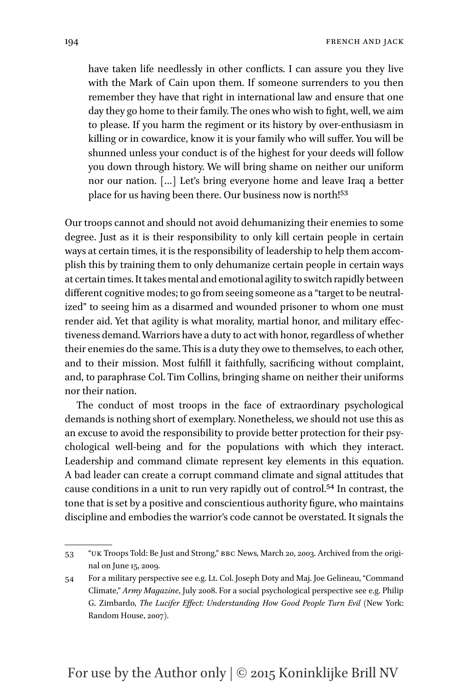have taken life needlessly in other conflicts. I can assure you they live with the Mark of Cain upon them. If someone surrenders to you then remember they have that right in international law and ensure that one day they go home to their family. The ones who wish to fight, well, we aim to please. If you harm the regiment or its history by over-enthusiasm in killing or in cowardice, know it is your family who will suffer. You will be shunned unless your conduct is of the highest for your deeds will follow you down through history. We will bring shame on neither our uniform nor our nation. […] Let's bring everyone home and leave Iraq a better place for us having been there. Our business now is north!<sup>53</sup>

Our troops cannot and should not avoid dehumanizing their enemies to some degree. Just as it is their responsibility to only kill certain people in certain ways at certain times, it is the responsibility of leadership to help them accomplish this by training them to only dehumanize certain people in certain ways at certain times. It takes mental and emotional agility to switch rapidly between different cognitive modes; to go from seeing someone as a "target to be neutralized" to seeing him as a disarmed and wounded prisoner to whom one must render aid. Yet that agility is what morality, martial honor, and military effectiveness demand. Warriors have a duty to act with honor, regardless of whether their enemies do the same. This is a duty they owe to themselves, to each other, and to their mission. Most fulfill it faithfully, sacrificing without complaint, and, to paraphrase Col. Tim Collins, bringing shame on neither their uniforms nor their nation.

The conduct of most troops in the face of extraordinary psychological demands is nothing short of exemplary. Nonetheless, we should not use this as an excuse to avoid the responsibility to provide better protection for their psychological well-being and for the populations with which they interact. Leadership and command climate represent key elements in this equation. A bad leader can create a corrupt command climate and signal attitudes that cause conditions in a unit to run very rapidly out of control.54 In contrast, the tone that is set by a positive and conscientious authority figure, who maintains discipline and embodies the warrior's code cannot be overstated. It signals the

<sup>53</sup> "uk Troops Told: Be Just and Strong," bbc News, March 20, 2003. Archived from the original on June 15, 2009.

<sup>54</sup> For a military perspective see e.g. Lt. Col. Joseph Doty and Maj. Joe Gelineau, "Command Climate," *Army Magazine*, July 2008. For a social psychological perspective see e.g. Philip G. Zimbardo, *The Lucifer Effect: Understanding How Good People Turn Evil* (New York: Random House, 2007).